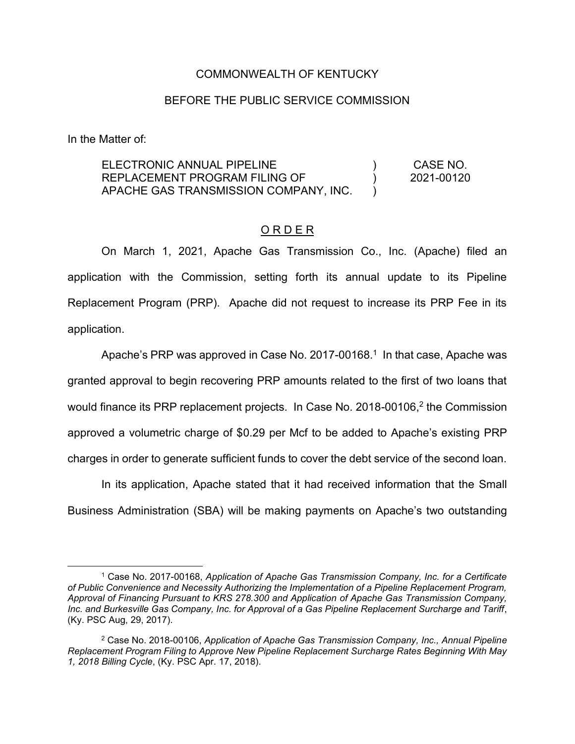## COMMONWEALTH OF KENTUCKY

## BEFORE THE PUBLIC SERVICE COMMISSION

In the Matter of:

ELECTRONIC ANNUAL PIPELINE REPLACEMENT PROGRAM FILING OF APACHE GAS TRANSMISSION COMPANY, INC.  $\lambda$  $\lambda$  $\lambda$ CASE NO. 2021-00120

## O R D E R

On March 1, 2021, Apache Gas Transmission Co., Inc. (Apache) filed an application with the Commission, setting forth its annual update to its Pipeline Replacement Program (PRP). Apache did not request to increase its PRP Fee in its application.

Apache's PRP was approved in Case No. 2017-00168.<sup>1</sup> In that case, Apache was granted approval to begin recovering PRP amounts related to the first of two loans that would finance its PRP replacement projects. In Case No. 2018-00106, $<sup>2</sup>$  the Commission</sup> approved a volumetric charge of \$0.29 per Mcf to be added to Apache's existing PRP charges in order to generate sufficient funds to cover the debt service of the second loan.

In its application, Apache stated that it had received information that the Small Business Administration (SBA) will be making payments on Apache's two outstanding

<sup>1</sup> Case No. 2017-00168, *Application of Apache Gas Transmission Company, Inc. for a Certificate of Public Convenience and Necessity Authorizing the Implementation of a Pipeline Replacement Program, Approval of Financing Pursuant to KRS 278.300 and Application of Apache Gas Transmission Company, Inc. and Burkesville Gas Company, Inc. for Approval of a Gas Pipeline Replacement Surcharge and Tariff*, (Ky. PSC Aug, 29, 2017).

<sup>2</sup> Case No. 2018-00106, *Application of Apache Gas Transmission Company, Inc., Annual Pipeline Replacement Program Filing to Approve New Pipeline Replacement Surcharge Rates Beginning With May 1, 2018 Billing Cycle*, (Ky. PSC Apr. 17, 2018).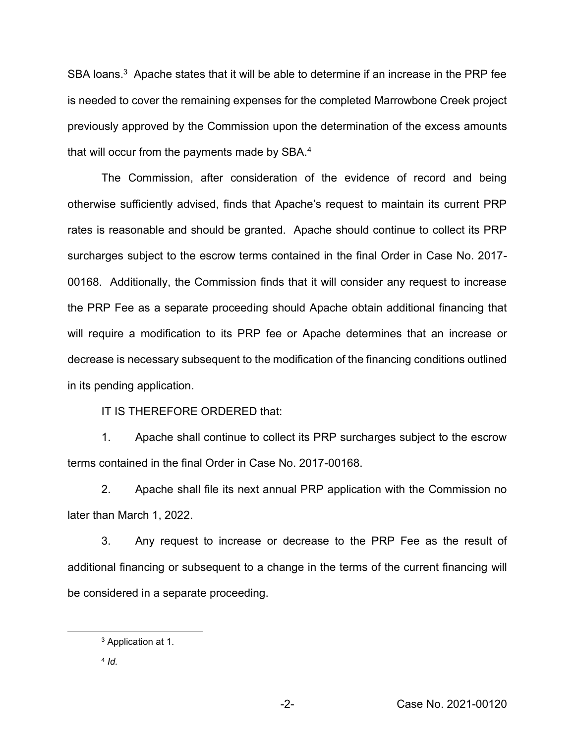SBA loans.<sup>3</sup> Apache states that it will be able to determine if an increase in the PRP fee is needed to cover the remaining expenses for the completed Marrowbone Creek project previously approved by the Commission upon the determination of the excess amounts that will occur from the payments made by SBA.<sup>4</sup>

The Commission, after consideration of the evidence of record and being otherwise sufficiently advised, finds that Apache's request to maintain its current PRP rates is reasonable and should be granted. Apache should continue to collect its PRP surcharges subject to the escrow terms contained in the final Order in Case No. 2017- 00168. Additionally, the Commission finds that it will consider any request to increase the PRP Fee as a separate proceeding should Apache obtain additional financing that will require a modification to its PRP fee or Apache determines that an increase or decrease is necessary subsequent to the modification of the financing conditions outlined in its pending application.

IT IS THEREFORE ORDERED that:

1. Apache shall continue to collect its PRP surcharges subject to the escrow terms contained in the final Order in Case No. 2017-00168.

2. Apache shall file its next annual PRP application with the Commission no later than March 1, 2022.

3. Any request to increase or decrease to the PRP Fee as the result of additional financing or subsequent to a change in the terms of the current financing will be considered in a separate proceeding.

<sup>3</sup> Application at 1.

<sup>4</sup> *Id.*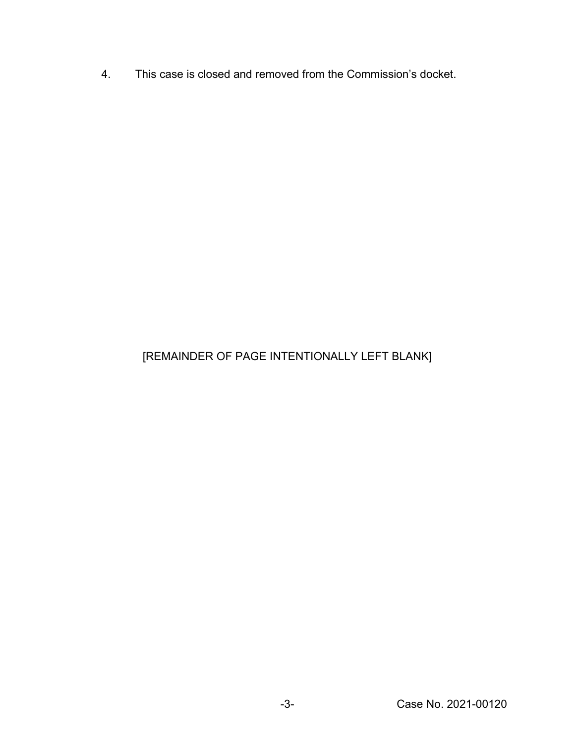4. This case is closed and removed from the Commission's docket.

## [REMAINDER OF PAGE INTENTIONALLY LEFT BLANK]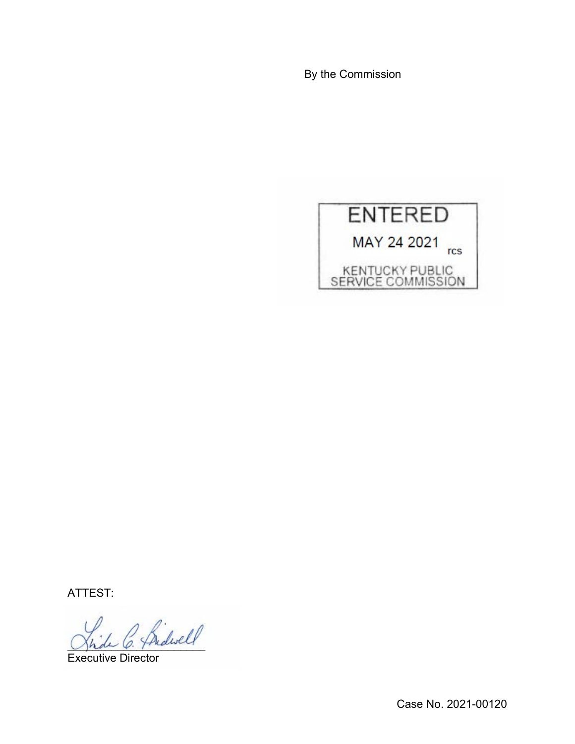By the Commission



ATTEST:

2 Bidwell

Executive Director

Case No. 2021-00120